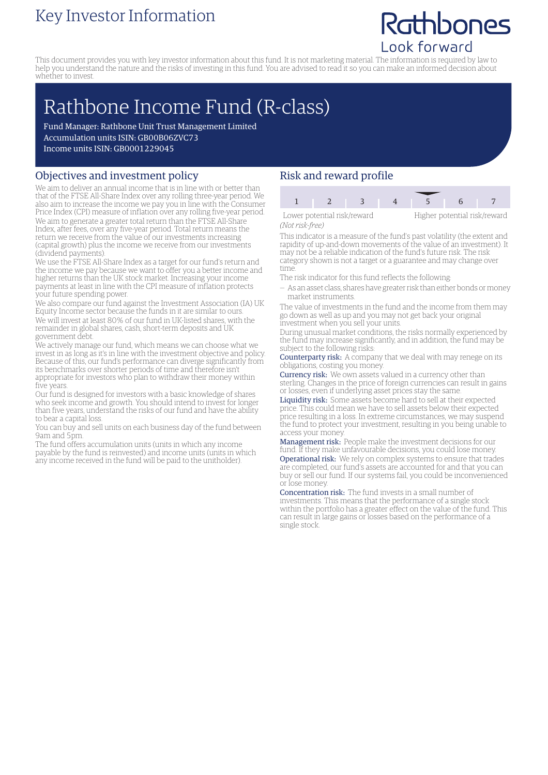### Key Investor Information

## Rathbones Look forward

This document provides you with key investor information about this fund. It is not marketing material. The information is required by law to help you understand the nature and the risks of investing in this fund. You are advised to read it so you can make an informed decision about whether to invest.

# Rathbone Income Fund (R-class)

Fund Manager: Rathbone Unit Trust Management Limited Accumulation units ISIN: GB00B06ZVC73 Income units ISIN: GB0001229045

#### Objectives and investment policy

We aim to deliver an annual income that is in line with or better than that of the FTSE All-Share Index over any rolling three-year period. We also aim to increase the income we pay you in line with the Consumer Price Index (CPI) measure of inflation over any rolling five-year period. We aim to generate a greater total return than the FTSE All-Share Index, after fees, over any five-year period. Total return means the return we receive from the value of our investments increasing (capital growth) plus the income we receive from our investments (dividend payments).

We use the FTSE All-Share Index as a target for our fund's return and the income we pay because we want to offer you a better income and higher returns than the UK stock market. Increasing your income payments at least in line with the CPI measure of inflation protects your future spending power.

We also compare our fund against the Investment Association (IA) UK Equity Income sector because the funds in it are similar to ours. We will invest at least 80% of our fund in UK-listed shares, with the remainder in global shares, cash, short-term deposits and UK government debt.

We actively manage our fund, which means we can choose what we invest in as long as it's in line with the investment objective and policy. Because of this, our fund's performance can diverge significantly from its benchmarks over shorter periods of time and therefore isn't appropriate for investors who plan to withdraw their money within five years.

Our fund is designed for investors with a basic knowledge of shares who seek income and growth. You should intend to invest for longer than five years, understand the risks of our fund and have the ability to bear a capital loss.

You can buy and sell units on each business day of the fund between 9am and 5pm.

The fund offers accumulation units (units in which any income payable by the fund is reinvested) and income units (units in which any income received in the fund will be paid to the unitholder).

#### Risk and reward profile

| Lower potential risk/reward |  |  |  |  | Higher potential risk/reward |  |
|-----------------------------|--|--|--|--|------------------------------|--|

*(Not risk-free)*

This indicator is a measure of the fund's past volatility (the extent and rapidity of up-and-down movements of the value of an investment). It may not be a reliable indication of the fund's future risk. The risk category shown is not a target or a guarantee and may change over

time. The risk indicator for this fund reflects the following:

— As an asset class, shares have greater risk than either bonds ormoney market instruments.

The value of investments in the fund and the income from them may go down as well as up and you may not get back your original investment when you sell your units.

During unusual market conditions, the risks normally experienced by the fund may increase significantly, and in addition, the fund may be subject to the following risks:

Counterparty risk: A company that we deal with may renege on its obligations, costing you money.

Currency risk: We own assets valued in a currency other than sterling. Changes in the price of foreign currencies can result in gains or losses, even if underlying asset prices stay the same.

Liquidity risk: Some assets become hard to sell at their expected price. This could mean we have to sell assets below their expected price resulting in a loss. In extreme circumstances, we may suspend the fund to protect your investment, resulting in you being unable to access your money.

Management risk: People make the investment decisions for our fund. If they make unfavourable decisions, you could lose money. Operational risk: We rely on complex systems to ensure that trades are completed, our fund's assets are accounted for and that you can buy or sell our fund. If our systems fail, you could be inconvenienced or lose money.

Concentration risk: The fund invests in a small number of investments. This means that the performance of a single stock within the portfolio has a greater effect on the value of the fund. This can result in large gains or losses based on the performance of a single stock.